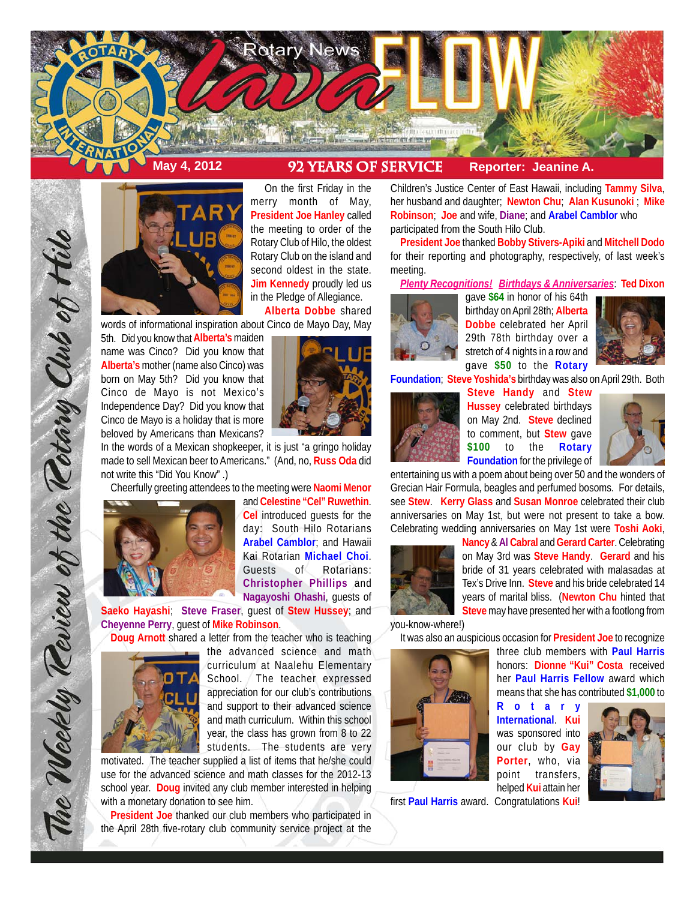



On the first Friday in the merry month of May, **President Joe Hanley** called the meeting to order of the Rotary Club of Hilo, the oldest Rotary Club on the island and second oldest in the state. **Jim Kennedy** proudly led us in the Pledge of Allegiance. **Alberta Dobbe** shared

words of informational inspiration about Cinco de Mayo Day, May

5th. Did you know that **Alberta's** maiden name was Cinco? Did you know that **Alberta's** mother (name also Cinco) was born on May 5th? Did you know that Cinco de Mayo is not Mexico's Independence Day? Did you know that Cinco de Mayo is a holiday that is more beloved by Americans than Mexicans?



In the words of a Mexican shopkeeper, it is just "a gringo holiday made to sell Mexican beer to Americans." (And, no, **Russ Oda** did not write this "Did You Know" .)

Cheerfully greeting attendees to the meeting were **Naomi Menor**



The Weekly Teview of the Tetary Club of Hilo

and **Celestine "Cel" Ruwethin**. **Cel** introduced guests for the day: South Hilo Rotarians **Arabel Camblor**; and Hawaii Kai Rotarian **Michael Choi**. Guests of Rotarians: **Christopher Phillips** and **Nagayoshi Ohashi**, guests of

**Saeko Hayashi**; **Steve Fraser**, guest of **Stew Hussey**; and **Cheyenne Perry**, guest of **Mike Robinson**.

**Doug Arnott** shared a letter from the teacher who is teaching



the advanced science and math curriculum at Naalehu Elementary School. The teacher expressed appreciation for our club's contributions and support to their advanced science and math curriculum. Within this school year, the class has grown from 8 to 22 students. The students are very

motivated. The teacher supplied a list of items that he/she could use for the advanced science and math classes for the 2012-13 school year. **Doug** invited any club member interested in helping with a monetary donation to see him.

**President Joe** thanked our club members who participated in the April 28th five-rotary club community service project at the Children's Justice Center of East Hawaii, including **Tammy Silva**, her husband and daughter; **Newton Chu**; **Alan Kusunoki** ; **Mike Robinson**; **Joe** and wife, **Diane**; and **Arabel Camblor** who participated from the South Hilo Club.

**President Joe** thanked **Bobby Stivers-Apiki** and **Mitchell Dodo** for their reporting and photography, respectively, of last week's meeting.

*Plenty Recognitions! Birthdays & Anniversaries*: **Ted Dixon**



gave **\$64** in honor of his 64th birthday on April 28th; **Alberta Dobbe** celebrated her April 29th 78th birthday over a stretch of 4 nights in a row and gave **\$50** to the **Rotary**



**Foundation**; **Steve Yoshida's** birthday was also on April 29th. Both



**Steve Handy** and **Stew Hussey** celebrated birthdays on May 2nd. **Steve** declined to comment, but **Stew** gave **\$100** to the **Rotary Foundation** for the privilege of



entertaining us with a poem about being over 50 and the wonders of Grecian Hair Formula, beagles and perfumed bosoms. For details, see **Stew**. **Kerry Glass** and **Susan Monroe** celebrated their club anniversaries on May 1st, but were not present to take a bow. Celebrating wedding anniversaries on May 1st were **Toshi Aoki**,



**Nancy** & **Al Cabral** and **Gerard Carter**. Celebrating on May 3rd was **Steve Handy**. **Gerard** and his bride of 31 years celebrated with malasadas at Tex's Drive Inn. **Steve** and his bride celebrated 14 years of marital bliss. (**Newton Chu** hinted that **Steve** may have presented her with a footlong from

> three club members with **Paul Harris** honors: **Dionne "Kui" Costa** received

you-know-where!)

It was also an auspicious occasion for **President Joe** to recognize



her **Paul Harris Fellow** award which means that she has contributed **\$1,000** to **Rotary International**. **Kui** was sponsored into our club by **Gay Porter**, who, via point transfers, helped **Kui** attain her



first **Paul Harris** award. Congratulations **Kui**!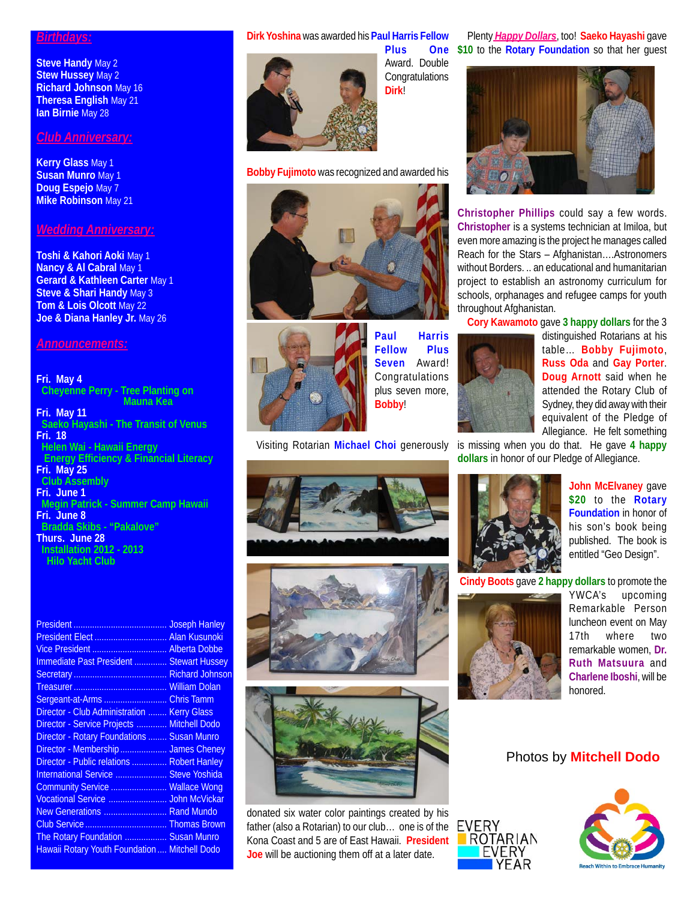### *Birthdays:*

**Steve Handy May 2 Stew Hussey** May 2 **Richard Johnson** May 16 **Theresa English** May 21 **Ian Birnie** May 28

# *Club Anniversary:*

**Kerry Glass** May 1 **Susan Munro** May 1 **Doug Espejo** May 7 **Mike Robinson** May 21

### *Wedding Anniversary:*

**Toshi & Kahori Aoki** May 1 **Nancy & Al Cabral May 1 Gerard & Kathleen Carter** May 1 **Steve & Shari Handy** May 3 **Tom & Lois Olcott** May 22 **Joe & Diana Hanley Jr.** May 26

### *Announcements:*

#### **Fri. May 4 Cheyenne Perry - Tree Planting on Mauna Kea Fri. May 11 Saeko Hayashi - The Transit of Venus Fri. 18 Helen Wai - Hawaii Energy**

 **Energy Efficiency & Financial Literacy Fri. May 25 Club Assembly**

**Fri. June 1 Megin Patrick - Summer Camp Hawaii Fri. June 8 Bradda Skibs - "Pakalove" Thurs. June 28 Installation 2012 - 2013 Hilo Yacht Club**

|                                               | <b>Joseph Hanley</b>   |
|-----------------------------------------------|------------------------|
| President Elect  Alan Kusunoki                |                        |
|                                               |                        |
| Immediate Past President  Stewart Hussey      |                        |
|                                               | <b>Richard Johnson</b> |
|                                               | <b>William Dolan</b>   |
| Sergeant-at-Arms                              | <b>Chris Tamm</b>      |
| Director - Club Administration                | <b>Kerry Glass</b>     |
| Director - Service Projects                   | <b>Mitchell Dodo</b>   |
| Director - Rotary Foundations                 | <b>Susan Munro</b>     |
| Director - Membership  James Cheney           |                        |
| Director - Public relations  Robert Hanley    |                        |
| International Service                         | <b>Steve Yoshida</b>   |
| Community Service  Wallace Wong               |                        |
| Vocational Service  John McVickar             |                        |
| New Generations  Rand Mundo                   |                        |
|                                               |                        |
| The Rotary Foundation  Susan Munro            |                        |
| Hawaii Rotary Youth Foundation  Mitchell Dodo |                        |

# **Dirk Yoshina** was awarded his **Paul Harris Fellow**



**Bobby Fujimoto** was recognized and awarded his





**Paul Harris Fellow Plus Seven** Award! Congratulations plus seven more, **Bobby**!

Visiting Rotarian **Michael Choi** generously is missing when you do that. He gave **4 happy**







donated six water color paintings created by his father (also a Rotarian) to our club… one is of the Kona Coast and 5 are of East Hawaii. **President Joe** will be auctioning them off at a later date.

**Plus One \$10** to the **Rotary Foundation** so that her guest Plenty *Happy Dollars*, too! **Saeko Hayashi** gave



**Christopher Phillips** could say a few words. **Christopher** is a systems technician at Imiloa, but even more amazing is the project he manages called Reach for the Stars – Afghanistan….Astronomers without Borders. .. an educational and humanitarian project to establish an astronomy curriculum for schools, orphanages and refugee camps for youth throughout Afghanistan.

**Cory Kawamoto** gave **3 happy dollars** for the 3



distinguished Rotarians at his table… **Bobby Fujimoto**, **Russ Oda** and **Gay Porter**. **Doug Arnott** said when he attended the Rotary Club of Sydney, they did away with their equivalent of the Pledge of Allegiance. He felt something

**dollars** in honor of our Pledge of Allegiance.



**John McElvaney** gave **\$20** to the **Rotary Foundation** in honor of his son's book being published. The book is entitled "Geo Design".

**Cindy Boots** gave **2 happy dollars** to promote the



EVERY

ROTARIAN EVERY

YWCA's upcoming Remarkable Person luncheon event on May 17th where two remarkable women, **Dr. Ruth Matsuura** and **Charlene Iboshi**, will be honored.

## Photos by **Mitchell Dodo**